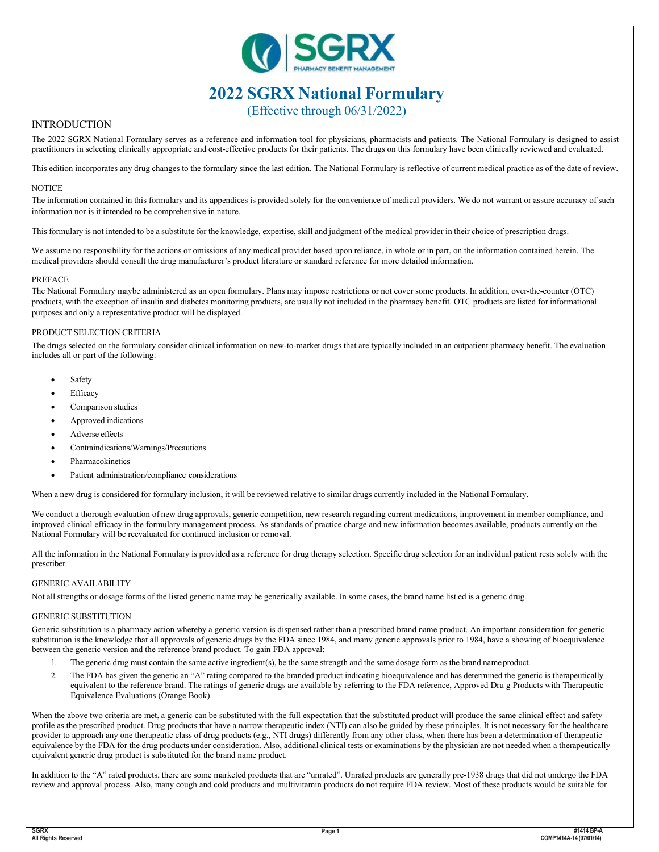

# **2022 SGRX National Formulary**

(Effective through 06/31/2022)

## INTRODUCTION

The 2022 SGRX National Formulary serves as a reference and information tool for physicians, pharmacists and patients. The National Formulary is designed to assist practitioners in selecting clinically appropriate and cost-effective products for their patients. The drugs on this formulary have been clinically reviewed and evaluated.

This edition incorporates any drug changes to the formulary since the last edition. The National Formulary is reflective of current medical practice as of the date of review.

### **NOTICE**

The information contained in this formulary and its appendices is provided solely for the convenience of medical providers. We do not warrant or assure accuracy of such information nor is it intended to be comprehensive in nature.

This formulary is not intended to be a substitute for the knowledge, expertise, skill and judgment of the medical provider in their choice of prescription drugs.

We assume no responsibility for the actions or omissions of any medical provider based upon reliance, in whole or in part, on the information contained herein. The medical providers should consult the drug manufacturer's product literature or standard reference for more detailed information.

### PREFACE

The National Formulary maybe administered as an open formulary. Plans may impose restrictions or not cover some products. In addition, over-the-counter (OTC) products, with the exception of insulin and diabetes monitoring products, are usually not included in the pharmacy benefit. OTC products are listed for informational purposes and only a representative product will be displayed.

### PRODUCT SELECTION CRITERIA

The drugs selected on the formulary consider clinical information on new-to-market drugs that are typically included in an outpatient pharmacy benefit. The evaluation includes all or part of the following:

- **Safety**
- **Efficacy**
- Comparison studies
- Approved indications
- Adverse effects
- Contraindications/Warnings/Precautions
- **Pharmacokinetics**
- Patient administration/compliance considerations

When a new drug is considered for formulary inclusion, it will be reviewed relative to similar drugs currently included in the National Formulary.

We conduct a thorough evaluation of new drug approvals, generic competition, new research regarding current medications, improvement in member compliance, and improved clinical efficacy in the formulary management process. As standards of practice charge and new information becomes available, products currently on the National Formulary will be reevaluated for continued inclusion or removal.

All the information in the National Formulary is provided as a reference for drug therapy selection. Specific drug selection for an individual patient rests solely with the prescriber.

#### GENERIC AVAILABILITY

Not all strengths or dosage forms of the listed generic name may be generically available. In some cases, the brand name list ed is a generic drug.

#### GENERIC SUBSTITUTION

Generic substitution is a pharmacy action whereby a generic version is dispensed rather than a prescribed brand name product. An important consideration for generic substitution is the knowledge that all approvals of generic drugs by the FDA since 1984, and many generic approvals prior to 1984, have a showing of bioequivalence between the generic version and the reference brand product. To gain FDA approval:

- 1. The generic drug must contain the same active ingredient(s), be the same strength and the same dosage form as the brand name product.
- 2. The FDA has given the generic an "A" rating compared to the branded product indicating bioequivalence and has determined the generic is therapeutically equivalent to the reference brand. The ratings of generic drugs are available by referring to the FDA reference, Approved Dru g Products with Therapeutic Equivalence Evaluations (Orange Book).

When the above two criteria are met, a generic can be substituted with the full expectation that the substituted product will produce the same clinical effect and safety profile as the prescribed product. Drug products that have a narrow therapeutic index (NTI) can also be guided by these principles. It is not necessary for the healthcare provider to approach any one therapeutic class of drug products (e.g., NTI drugs) differently from any other class, when there has been a determination of therapeutic equivalence by the FDA for the drug products under consideration. Also, additional clinical tests or examinations by the physician are not needed when a therapeutically equivalent generic drug product is substituted for the brand name product.

In addition to the "A" rated products, there are some marketed products that are "unrated". Unrated products are generally pre-1938 drugs that did not undergo the FDA review and approval process. Also, many cough and cold products and multivitamin products do not require FDA review. Most of these products would be suitable for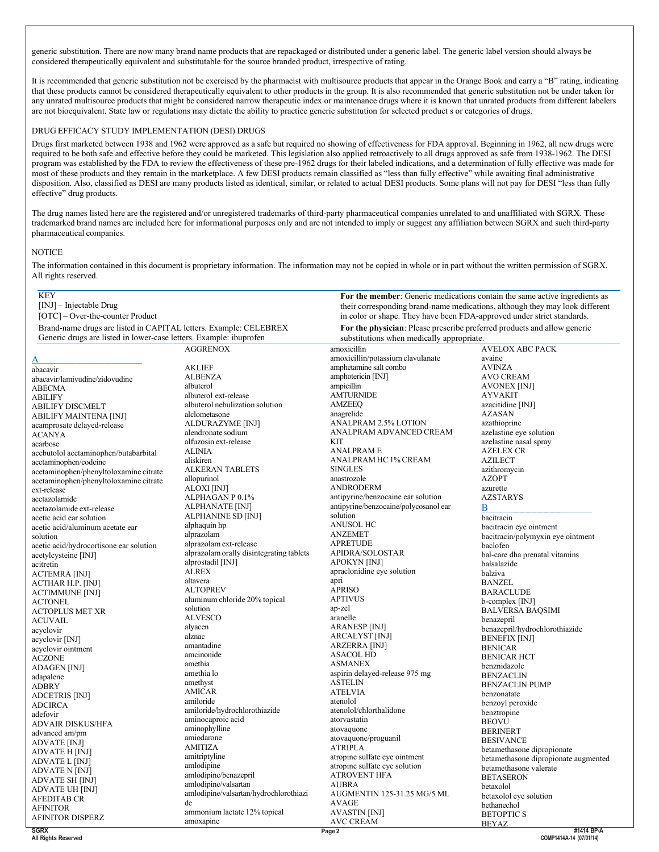generic substitution. There are now many brand name products that are repackaged or distributed under a generic label. The generic label version should always be considered therapeutically equivalent and substitutable for the source branded product, irrespective of rating.

It is recommended that generic substitution not be exercised by the pharmacist with multisource products that appear in the Orange Book and carry a "B" rating, indicating that these products cannot be considered therapeutically equivalent to other products in the group. It is also recommended that generic substitution not be under taken for any unrated multisource products that might be considered narrow therapeutic index or maintenance drugs where it is known that unrated products from different labelers are not bioequivalent. State law or regulations may dictate the ability to practice generic substitution for selected product s or categories of drugs.

#### DRUG EFFICACY STUDY IMPLEMENTATION (DESI) DRUGS

Drugs first marketed between 1938 and 1962 were approved as a safe but required no showing of effectiveness for FDA approval. Beginning in 1962, all new drugs were required to be both safe and effective before they could be marketed. This legislation also applied retroactively to all drugs approved as safe from 1938-1962. The DESI program was established by the FDA to review the effectiveness of these pre-1962 drugs for their labeled indications, and a determination of fully effective was made for most of these products and they remain in the marketplace. A few DESI products remain classified as "less than fully effective" while awaiting final administrative disposition. Also, classified as DESI are many products listed as identical, similar, or related to actual DESI products. Some plans will not pay for DESI "less than fully effective" drug products.

The drug names listed here are the registered and/or unregistered trademarks of third-party pharmaceutical companies unrelated to and unaffiliated with SGRX. These trademarked brand names are included here for informational purposes only and are not intended to imply or suggest any affiliation between SGRX and such third-party pharmaceutical companies.

#### **NOTICE**

The information contained in this document is proprietary information. The information may not be copied in whole or in part without the written permission of SGRX. All rights reserved.

| <b>KEY</b>                                                         |                                          |                                                                              |                                      |
|--------------------------------------------------------------------|------------------------------------------|------------------------------------------------------------------------------|--------------------------------------|
| $[INJ]$ – Injectable Drug                                          |                                          | For the member: Generic medications contain the same active ingredients as   |                                      |
|                                                                    |                                          | their corresponding brand-name medications, although they may look different |                                      |
| [OTC] – Over-the-counter Product                                   |                                          | in color or shape. They have been FDA-approved under strict standards.       |                                      |
| Brand-name drugs are listed in CAPITAL letters. Example: CELEBREX  |                                          | For the physician: Please prescribe preferred products and allow generic     |                                      |
| Generic drugs are listed in lower-case letters. Example: ibuprofen |                                          | substitutions when medically appropriate.                                    |                                      |
|                                                                    | <b>AGGRENOX</b>                          | amoxicillin                                                                  | <b>AVELOX ABC PACK</b>               |
| <u>А</u>                                                           |                                          | amoxicillin/potassium clavulanate                                            | avaine                               |
| abacavir                                                           | <b>AKLIEF</b>                            | amphetamine salt combo                                                       | <b>AVINZA</b>                        |
| abacavir/lamivudine/zidovudine                                     | <b>ALBENZA</b>                           | amphotericin [INJ]                                                           | <b>AVO CREAM</b>                     |
| <b>ABECMA</b>                                                      | albuterol                                | ampicillin                                                                   | <b>AVONEX [INJ]</b>                  |
| <b>ABILIFY</b>                                                     | albuterol ext-release                    | <b>AMTURNIDE</b>                                                             | <b>AYVAKIT</b>                       |
| <b>ABILIFY DISCMELT</b>                                            | albuterol nebulization solution          | <b>AMZEEQ</b>                                                                | azacitidine [INJ]                    |
| <b>ABILIFY MAINTENA [INJ]</b>                                      | alclometasone                            | anagrelide                                                                   | <b>AZASAN</b>                        |
| acamprosate delayed-release                                        | ALDURAZYME [INJ]                         | ANALPRAM 2.5% LOTION                                                         | azathioprine                         |
| <b>ACANYA</b>                                                      | alendronate sodium                       | ANALPRAM ADVANCED CREAM                                                      | azelastine eye solution              |
|                                                                    | alfuzosin ext-release                    | <b>KIT</b>                                                                   | azelastine nasal spray               |
| acarbose                                                           | <b>ALINIA</b>                            | ANALPRAM E                                                                   | <b>AZELEX CR</b>                     |
| acebutolol acetaminophen/butabarbital                              | aliskiren                                | ANALPRAM HC 1% CREAM                                                         | <b>AZILECT</b>                       |
| acetaminophen/codeine                                              | <b>ALKERAN TABLETS</b>                   | <b>SINGLES</b>                                                               | azithromycin                         |
| acetaminophen/phenyltoloxamine citrate                             |                                          | anastrozole                                                                  |                                      |
| acetaminophen/phenyltoloxamine citrate                             | allopurinol                              | <b>ANDRODERM</b>                                                             | <b>AZOPT</b>                         |
| ext-release                                                        | ALOXI [INJ]                              |                                                                              | azurette                             |
| acetazolamide                                                      | ALPHAGAN P 0.1%                          | antipyrine/benzocaine ear solution                                           | <b>AZSTARYS</b>                      |
| acetazolamide ext-release                                          | ALPHANATE [INJ]                          | antipyrine/benzocaine/polycosanol ear                                        | В                                    |
| acetic acid ear solution                                           | ALPHANINE SD [INJ]                       | solution                                                                     | bacitracin                           |
| acetic acid/aluminum acetate ear                                   | alphaquin hp                             | <b>ANUSOL HC</b>                                                             | bacitracin eye ointment              |
| solution                                                           | alprazolam                               | <b>ANZEMET</b>                                                               | bacitracin/polymyxin eye ointment    |
| acetic acid/hydrocortisone ear solution                            | alprazolam ext-release                   | <b>APRETUDE</b>                                                              | baclofen                             |
| acetylcysteine [INJ]                                               | alprazolam orally disintegrating tablets | APIDRA/SOLOSTAR                                                              | bal-care dha prenatal vitamins       |
| acitretin                                                          | alprostadil [INJ]                        | APOKYN [INJ]                                                                 | balsalazide                          |
| <b>ACTEMRA [INJ]</b>                                               | <b>ALREX</b>                             | apraclonidine eye solution                                                   | balziva                              |
| <b>ACTHAR H.P. [INJ]</b>                                           | altavera                                 | apri                                                                         | <b>BANZEL</b>                        |
| <b>ACTIMMUNE</b> [INJ]                                             | <b>ALTOPREV</b>                          | <b>APRISO</b>                                                                | <b>BARACLUDE</b>                     |
| <b>ACTONEL</b>                                                     | aluminum chloride 20% topical            | <b>APTIVUS</b>                                                               | b-complex [INJ]                      |
| <b>ACTOPLUS MET XR</b>                                             | solution                                 | ap-zel                                                                       | <b>BALVERSA BAQSIMI</b>              |
| <b>ACUVAIL</b>                                                     | <b>ALVESCO</b>                           | aranelle                                                                     | benazepril                           |
| acyclovir                                                          | alyacen                                  | <b>ARANESP [INJ]</b>                                                         | benazepril/hydrochlorothiazide       |
| acyclovir [INJ]                                                    | alznac                                   | <b>ARCALYST [INJ]</b>                                                        | <b>BENEFIX [INJ]</b>                 |
| acyclovir ointment                                                 | amantadine                               | <b>ARZERRA [INJ]</b>                                                         | <b>BENICAR</b>                       |
| <b>ACZONE</b>                                                      | amcinonide                               | <b>ASACOL HD</b>                                                             | <b>BENICAR HCT</b>                   |
|                                                                    | amethia                                  | <b>ASMANEX</b>                                                               | benznidazole                         |
| <b>ADAGEN [INJ]</b>                                                | amethia lo                               | aspirin delayed-release 975 mg                                               | <b>BENZACLIN</b>                     |
| adapalene                                                          | amethyst                                 | <b>ASTELIN</b>                                                               | <b>BENZACLIN PUMP</b>                |
| <b>ADBRY</b>                                                       | <b>AMICAR</b>                            | <b>ATELVIA</b>                                                               |                                      |
| <b>ADCETRIS [INJ]</b>                                              | amiloride                                | atenolol                                                                     | benzonatate                          |
| <b>ADCIRCA</b>                                                     | amiloride/hydrochlorothiazide            | atenolol/chlorthalidone                                                      | benzoyl peroxide                     |
| adefovir                                                           | aminocaproic acid                        | atorvastatin                                                                 | benztropine                          |
| <b>ADVAIR DISKUS/HFA</b>                                           | aminophylline                            | atovaquone                                                                   | <b>BEOVU</b>                         |
| advanced am/pm                                                     | amiodarone                               | atovaquone/proguanil                                                         | <b>BERINERT</b>                      |
| <b>ADVATE [INJ]</b>                                                | <b>AMITIZA</b>                           | <b>ATRIPLA</b>                                                               | <b>BESIVANCE</b>                     |
| <b>ADVATE H [INJ]</b>                                              | amitriptyline                            |                                                                              | betamethasone dipropionate           |
| ADVATE L [INJ]                                                     |                                          | atropine sulfate eye ointment                                                | betamethasone dipropionate augmented |
| <b>ADVATE N [INJ]</b>                                              | amlodipine                               | atropine sulfate eye solution                                                | betamethasone valerate               |
| <b>ADVATE SH [INJ]</b>                                             | amlodipine/benazepril                    | <b>ATROVENT HFA</b>                                                          | <b>BETASERON</b>                     |
| <b>ADVATE UH [INJ]</b>                                             | amlodipine/valsartan                     | <b>AUBRA</b>                                                                 | betaxolol                            |
| <b>AFEDITAB CR</b>                                                 | amlodipine/valsartan/hydrochlorothiazi   | AUGMENTIN 125-31.25 MG/5 ML                                                  | betaxolol eye solution               |
| <b>AFINITOR</b>                                                    | de                                       | <b>AVAGE</b>                                                                 | bethanechol                          |
| <b>AFINITOR DISPERZ</b>                                            | ammonium lactate 12% topical             | <b>AVASTIN</b> [INJ]                                                         | <b>BETOPTICS</b>                     |
|                                                                    | amoxapine                                | AVC CREAM                                                                    | <b>BEYAZ</b>                         |
| <b>SGRX</b>                                                        |                                          | Page 2                                                                       | #1414 BP-A                           |

**SGRX All Rights Reserved**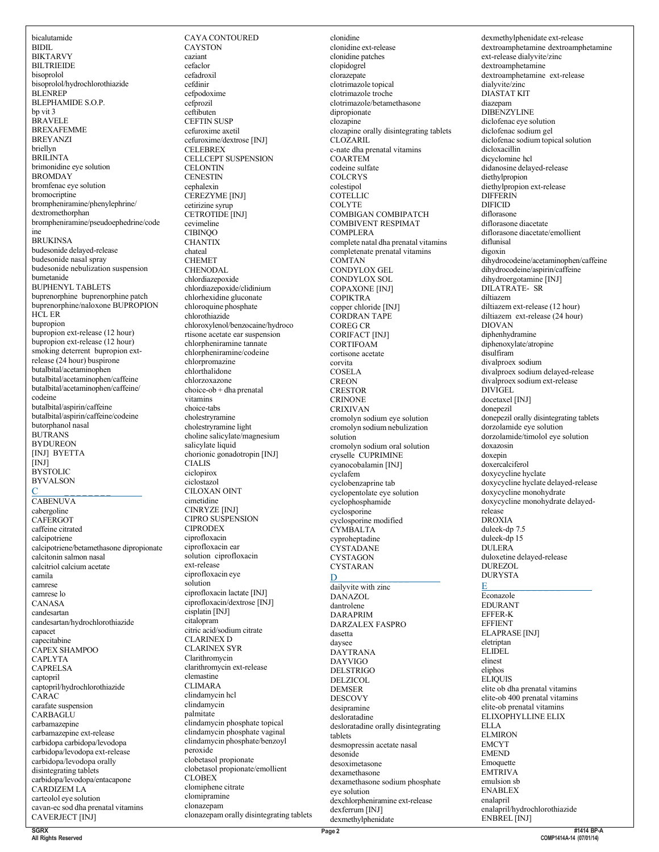bicalutamide BIDIL BIKTARVY BILTRIEIDE bisoprolol bisoprolol/hydrochlorothiazide **BLENREP** BLEPHAMIDE S.O.P. bp vit 3 BRAVELE BREXAFEMME BREYANZI briellyn BRILINTA brimonidine eye solution BROMDAY bromfenac eye solution bromocriptine brompheniramine/phenylephrine/ dextromethorphan brompheniramine/pseudoephedrine/code ine BRUKINSA budesonide delayed-release budesonide nasal spray budesonide nebulization suspension bumetanide BUPHENYL TABLETS buprenorphine buprenorphine patch buprenorphine/naloxone BUPROPION HCL ER bupropion bupropion ext-release (12 hour) bupropion ext-release (12 hour) smoking deterrent bupropion extrelease (24 hour) buspirone butalbital/acetaminophen butalbital/acetaminophen/caffeine butalbital/acetaminophen/caffeine/ codeine butalbital/aspirin/caffeine butalbital/aspirin/caffeine/codeine butorphanol nasal **BUTRANS** BYDUREON [INJ] BYETTA [INJ] **BYSTOLIC** BYVALSON  $C \qquad \qquad$ CABENUVA cabergoline **CAFERGOT** caffeine citrated calcipotriene calcipotriene/betamethasone dipropionate calcitonin salmon nasal calcitriol calcium acetate camila camrese camrese lo CANASA candesartan candesartan/hydrochlorothiazide capacet capecitabine CAPEX SHAMPOO CAPLYTA CAPRELSA captopril captopril/hydrochlorothiazide CARAC carafate suspension CARBAGLU carbamazepine carbamazepine ext-release carbidopa carbidopa/levodopa carbidopa/levodopa ext-release carbidopa/levodopa orally disintegrating tablets carbidopa/levodopa/entacapone CARDIZEM LA carteolol eye solution cavan-ec sod dha prenatal vitamins

CAYA CONTOURED **CAYSTON** caziant cefaclor cefadroxil cefdinir cefpodoxime cefprozil ceftibuten CEFTIN SUSP cefuroxime axetil cefuroxime/dextrose [INJ] CELEBREX CELLCEPT SUSPENSION **CELONTIN CENESTIN** cephalexin CEREZYME [INJ] cetirizine syrup CETROTIDE [INJ] cevimeline CIBINQO **CHANTIX** chateal CHEMET CHENODAL chlordiazepoxide chlordiazepoxide/clidinium chlorhexidine gluconate chloroquine phosphate chlorothiazide chloroxylenol/benzocaine/hydroco rtisone acetate ear suspension chlorpheniramine tannate chlorpheniramine/codeine chlorpromazine chlorthalidone chlorzoxazone choice-ob + dha prenatal vitamins choice-tabs cholestryramine cholestryramine light choline salicylate/magnesium salicylate liquid chorionic gonadotropin [INJ] CIALIS ciclopirox ciclostazol CILOXAN OINT cimetidine CINRYZE [INJ] CIPRO SUSPENSION CIPRODEX ciprofloxacin ciprofloxacin ear solution ciprofloxacin ext-release ciprofloxacin eye solution ciprofloxacin lactate [INJ] ciprofloxacin/dextrose [INJ] cisplatin [INJ] citalopram citric acid/sodium citrate CLARINEX D CLARINEX SYR Clarithromycin clarithromycin ext-release clemastine CLIMARA clindamycin hcl clindamycin palmitate clindamycin phosphate topical clindamycin phosphate vaginal clindamycin phosphate/benzoyl peroxide clobetasol propionate clobetasol propionate/emollient CLOBEX clomiphene citrate clomipramine clonazepam clonazepam orally disintegrating tablets clonidine clonidine ext-release clonidine patches clopidogrel clorazepate clotrimazole topical clotrimazole troche clotrimazole/betamethasone dipropionate clozapine clozapine orally disintegrating tablets CLOZARIL c-nate dha prenatal vitamins COARTEM codeine sulfate **COLCRYS** colestipol **COTELLIC COLYTE** COMBIGAN COMBIPATCH COMBIVENT RESPIMAT **COMPLERA** complete natal dha prenatal vitamins completenate prenatal vitamins COMTAN CONDYLOX GEL CONDYLOX SOL COPAXONE [INJ] COPIKTRA copper chloride [INJ] CORDRAN TAPE COREG CR CORIFACT [INJ] CORTIFOAM cortisone acetate corvita COSELA **CREON** CRESTOR CRINONE CRIXIVAN cromolyn sodium eye solution cromolyn sodium nebulization solution cromolyn sodium oral solution cryselle CUPRIMINE cyanocobalamin [INJ] cyclafem cyclobenzaprine tab cyclopentolate eye solution cyclophosphamide cyclosporine cyclosporine modified **CYMBALTA** cyproheptadine CYSTADANE **CYSTAGON** CYSTARAN  $D \sim$ dailyvite with zinc DANAZOL dantrolene DARAPRIM DARZALEX FASPRO dasetta daysee DAYTRANA DAYVIGO DELSTRIGO DELZICOL DEMSER DESCOVY desipramine desloratadine desloratadine orally disintegrating tablets desmopressin acetate nasal desonide desoximetasone dexamethasone dexamethasone sodium phosphate eye solution dexchlorpheniramine ext-release dexferrum [INJ] dexmethylphenidate

dexmethylphenidate ext-release dextroamphetamine dextroamphetamine ext-release dialyvite/zinc dextroamphetamine dextroamphetamine ext-release dialyvite/zinc DIASTAT KIT diazepam **DIBENZYLINE** diclofenac eye solution diclofenac sodium gel diclofenac sodium topical solution dicloxacillin dicyclomine hcl didanosine delayed-release diethylpropion diethylpropion ext-release **DIFFERIN DIFICID** diflorasone diflorasone diacetate diflorasone diacetate/emollient diflunisal digoxin dihydrocodeine/acetaminophen/caffeine dihydrocodeine/aspirin/caffeine dihydroergotamine [INJ] DILATRATE- SR diltiazem diltiazem ext-release (12 hour) diltiazem ext-release (24 hour) DIOVAN diphenhydramine diphenoxylate/atropine disulfiram divalproex sodium divalproex sodium delayed-release divalproex sodium ext-release DIVIGEL docetaxel [INJ] donepezil donepezil orally disintegrating tablets dorzolamide eye solution dorzolamide/timolol eye solution doxazosin doxepin doxercalciferol doxycycline hyclate doxycycline hyclate delayed-release doxycycline monohydrate doxycycline monohydrate delayedrelease DROXIA duleek-dp 7.5 duleek-dp 15 **DULERA** duloxetine delayed-release DUREZOL DURYSTA E \_ \_ \_ \_ \_ \_ \_ \_ Econazole EDURANT EFFER-K **EFFIENT** ELAPRASE [INJ] eletriptan **ELIDEL** elinest eliphos ELIQUIS<sub>.</sub> elite ob dha prenatal vitamins elite-ob 400 prenatal vitamins elite-ob prenatal vitamins ELIXOPHYLLINE ELIX ELLA ELMIRON EMCYT EMEND Emoquette **EMTRIVA** emulsion sb ENABLEX enalapril enalapril/hydrochlorothiazide ENBREL [INJ]

**SGRX All Rights Reserved**

CAVERJECT [INJ]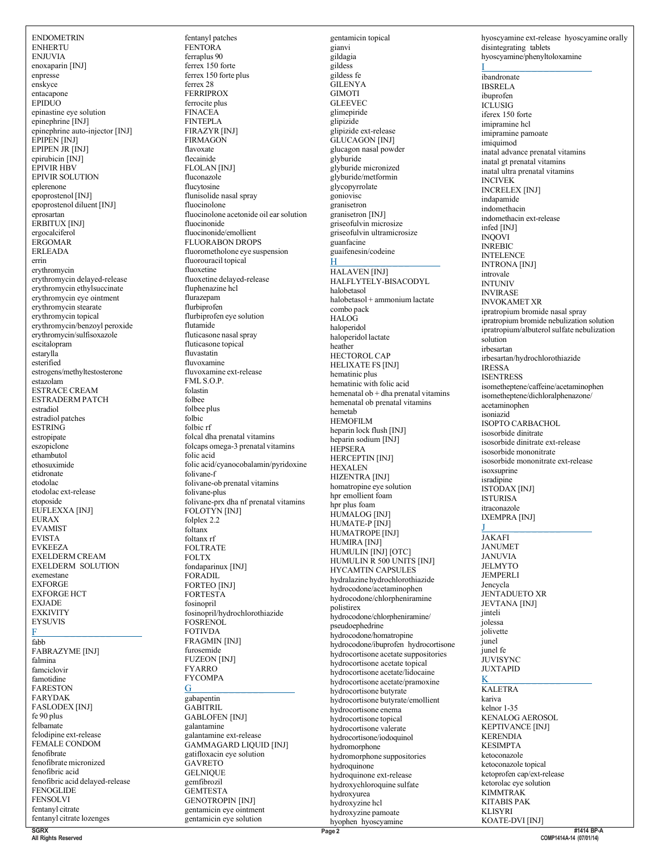**ENDOMETRIN ENHERTU ENJUVIA** enoxaparin [INJ] enpresse enskyce entacapone EPIDUO epinastine eye solution epinephrine [INJ] epinephrine auto-injector [INJ] EPIPEN IINJI EPIPEN JR [INJ] epirubicin [INJ] EPIVIR HBV **EPIVIR SOLUTION** eplerenone epoprostenol [INJ] epoprostenol diluent [INJ] eprosartan ERBITUX [INJ] ergocalciferol ERGOMAR **ERLEADA** errin erythromycin erythromycin delayed-release erythromycin ethylsuccinate erythromycin eye ointment erythromycin stearate erythromycin topical erythromycin/benzoyl peroxide erythromycin/sulfisoxazole escitalopram estarylla esterified estrogens/methyltestosterone estazolam **ESTRACE CREAM** ESTRADERM PATCH estradiol estradiol patches **ESTRING** estropipate eszopiclone ethambutol ethosuximide etidronate etodolac etodolac ext-release etoposide EUFLEXXA [INJ] **EURAX EVAMIST EVISTA EVKEEZA** EXELDERM CREAM **EXELDERM SOLUTION** exemestane **EXFORGE EXFORGE HCT EXJADE EXKIVITY EYSUVIS** F fabb **FABRAZYME [INJ]** falmina famciclovir famotidine **FARESTON FARYDAK FASLODEX** [INJ] fe 90 plus felbamate felodipine ext-release FEMALE CONDOM fenofibrate fenofibrate micronized fenofibric acid fenofibric acid delayed-release **FENOGLIDE FENSOLVI** fentanyl citrate fentanyl citrate lozenges SGRY

fentanyl patches **FENTORA** ferraplus 90 ferrex 150 forte ferrex 150 forte plus ferrex 28 **FERRIPROX** ferrocite plus **FINACEA FINTEPLA** FIRAZYR [INJ] **FIRMAGON** flavoxate flecainide **FLOLAN** [INJ] fluconazole flucytosine flunisolide nasal spray fluocinolone fluocinolone acetonide oil ear solution fluocinonide fluocinonide/emollient **FLUORABON DROPS** fluorometholone eye suspension fluorouracil topical fluoxetine fluoxetine delayed-release fluphenazine hcl flurazepam flurbiprofen flurbiprofen eye solution flutamide fluticasone nasal spray fluticasone topical fluvastatin fluvoxamine fluvoxamine ext-release FML S.O.P. folastin folbee folbee plus folbic folbic rf folcal dha prenatal vitamins folcaps omega-3 prenatal vitamins folic acid folic acid/cyanocobalamin/pyridoxine folivane-f folivane-ob prenatal vitamins folivane-plus folivane-prx dha nf prenatal vitamins FOLOTÝN [INJ] folplex 2.2 foltanx foltany rf **FOLTRATE FOLTX** fondaparinux [INJ] **FORADIL FORTEO** [INJ] FORTESTA fosinopril fosinopril/hydrochlorothiazide **FOSRENOL FOTIVDA FRAGMIN [INJ]** furosemide **FUZEON [INJ] FYARRO FYCOMPA** G gabapentin **GABITRIL GABLOFEN [INJ]** galantamine galantamine ext-release GAMMAGARD LIQUID [INJ] gatifloxacin eye solution GAVRETO **GELNIQUE** gemfibrozil **GEMTESTA GENOTROPIN [INJ]** gentamicin eye ointment

gentamicin eye solution

gentamicin topical gianvi gildagia gildess gildess fe **GILENYA GIMOTI GLEEVEC** glimepiride glipizide glipizide ext-release<br>GLUCAGON [INJ] glucagon nasal powder glyburide glyburide micronized glyburide/metformin glycopyrrolate goniovisc granisetron granisetron [INJ] griseofulvin microsize griseofulvin ultramicrosize guanfacine guaifenesin/codeine  $H$ **HALAVEN [INJ]** HALFLYTELY-BISACODYL halobetasol halobetasol + ammonium lactate combo pack HALOG haloperidol haloperidol lactate heather HECTOROL CAP HELIXATE FS [INJ] hematinic plus hematinic with folic acid hemenatal ob + dha prenatal vitamins hemenatal ob prenatal vitamins hemetab **HEMOFILM** heparin lock flush [INJ] heparin sodium [INJ] **HEPSERA** HERCEPTIN [INJ] **HEXALEN** HIZENTRA [INJ] homatropine eye solution hpr emollient foam hpr plus foam HUMALOG [INJ] HUMATE-P [INJ] HUMATROPE [INJ] HUMIRA [INJ] HUMULIN [INJ] [OTC] HUMULIN R 500 UNITS [INJ] HYCAMTIN CAPSULES hydralazine hydrochlorothiazide hydrocodone/acetaminophen hydrocodone/chlorpheniramine polistirex hydrocodone/chlorpheniramine/ pseudoephedrine hydrocodone/homatropine hydrocodone/ibuprofen hydrocortisone hydrocortisone acetate suppositories hydrocortisone acetate topical hydrocortisone acetate/lidocaine hydrocortisone acetate/pramoxine hydrocortisone butyrate hydrocortisone butyrate/emollient hydrocortisone enema hydrocortisone topical hydrocortisone valerate hydrocortisone/iodoquinol hydromorphone hydromorphone suppositories hydroquinone hydroquinone ext-release hydroxychloroquine sulfate hydroxyurea hydroxyzine hel hydroxyzine pamoate hyophen hyoscyamine

hyoscyamine ext-release hyoscyamine orally disintegrating tablets hyoscyamine/phenyltoloxamine

ibandronate **IBSRELA** ibuprofen **ICLUSIG** iferex 150 forte imipramine hel imipramine pamoate imiquimod inatal advance prenatal vitamins inatal gt prenatal vitamins inatal ultra prenatal vitamins **INCIVEK INCRELEX [INJ]** indapamide indomethacin indomethacin ext-release infed [INJ] **INOOVI INREBIC INTELENCE INTRONA** [INJ] introvale **INTUNIV INVIRASE INVOKAMET XR** ipratropium bromide nasal spray ipratropium bromide nebulization solution ipratropium/albuterol sulfate nebulization solution irbesartan irbesartan/hydrochlorothiazide **IRESSA ISENTRESS** isometheptene/caffeine/acetaminophen isometheptene/dichloralphenazone/ acetaminophen isoniazid **ISOPTO CARBACHOL** isosorbide dinitrate isosorbide dinitrate ext-release isosorbide mononitrate isosorbide mononitrate ext-release isoxsuprine isradipine **ISTODAX** [INJ] **ISTURISA** itraconazole **IXEMPRA [INJ] JAKAFI JANUMET JANUVIA JELMYTO JEMPERLI** Jencycla JENTADUETO XR **JEVTANA** [INJ] jinteli jolessa jolivette iunel junel fe JUVISYNC **JUXTAPID** K **KALETRA** kariva kelnor 1-35 **KENALOG AEROSOL KEPTIVANCE [INJ]** 

All Rights Reserved

**KERENDIA** 

**KESIMPTA** 

ketoconazole

**KIMMTRAK** 

**KLISYRI** 

**KITABIS PAK** 

KOATE-DVI [INJ]

ketoconazole topical

ketorolac eye solution

ketoprofen cap/ext-release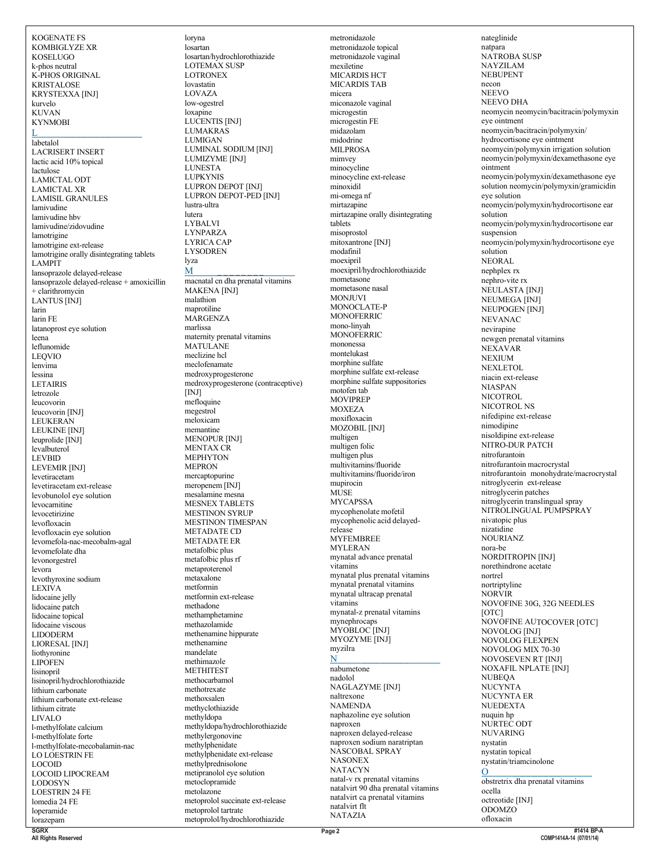KOMBIGLYZE XR KOSELUGO k-phos neutral K-PHOS ORIGINAL KRISTALOSE KRYSTEXXA [INJ] kurvelo KUVAN KYNMOBI L \_ \_ \_ \_ \_ \_ \_ \_ \_ \_ \_ \_ labetalol LACRISERT INSERT lactic acid 10% topical lactulose LAMICTAL ODT LAMICTAL XR LAMISIL GRANULES lamivudine lamivudine hbv lamivudine/zidovudine lamotrigine lamotrigine ext-release lamotrigine orally disintegrating tablets LAMPIT lansoprazole delayed-release lansoprazole delayed-release + amoxicillin + clarithromycin LANTUS [INJ] larin larin FE latanoprost eye solution leena leflunomide LEQVIO lenvima lessina LETAIRIS letrozole leucovorin leucovorin [INJ] LEUKERAN LEUKINE [INJ] leuprolide [INJ] levalbuterol LEVBID LEVEMIR [INJ] levetiracetam levetiracetam ext-release levobunolol eye solution levocarnitine levocetirizine levofloxacin levofloxacin eye solution levomefola-nac-mecobalm-agal levomefolate dha levonorgestrel levora levothyroxine sodium LEXIVA lidocaine jelly lidocaine patch lidocaine topical lidocaine viscous LIDODERM LIORESAL [INJ] liothyronine LIPOFEN lisinopril lisinopril/hydrochlorothiazide lithium carbonate lithium carbonate ext-release lithium citrate LIVALO l-methylfolate calcium l-methylfolate forte l-methylfolate-mecobalamin-nac LO LOESTRIN FE LOCOID LOCOID LIPOCREAM LODOSYN LOESTRIN 24 FE lomedia 24 FE loperamide lorazepam

KOGENATE FS

loryna losartan losartan/hydrochlorothiazide LOTEMAX SUSP LOTRONEX lovastatin LOVAZA low-ogestrel loxapine LUCENTIS [INJ] LUMAKRAS LUMIGAN LUMINAL SODIUM [INJ] LUMIZYME [INJ] LUNESTA LUPKYNIS LUPRON DEPOT [INJ] LUPRON DEPOT-PED [INJ] lustra-ultra lutera LYBALVI LYNPARZA LYRICA CAP LYSODREN lyza  $\bf M$ macnatal cn dha prenatal vitamins MAKENA [INJ] malathion maprotiline **MARGENZA** marlissa maternity prenatal vitamins MATULANE meclizine hcl meclofenamate medroxyprogesterone medroxyprogesterone (contraceptive) [INJ] mefloquine megestrol meloxicam memantine MENOPUR [INJ] MENTAX CR MEPHYTON MEPRON mercaptopurine meropenem [INJ] mesalamine mesna MESNEX TABLETS MESTINON SVRUP MESTINON TIMESPAN METADATE CD METADATE ER metafolbic plus metafolbic plus rf metaproterenol metaxalone metformin metformin ext-release methadone methamphetamine methazolamide methenamine hippurate methenamine mandelate methimazole METHITEST methocarbamol methotrexate methoxsalen methyclothiazide methyldopa methyldopa/hydrochlorothiazide methylergonovine methylphenidate methylphenidate ext-release methylprednisolone metipranolol eye solution metoclopramide metolazone metoprolol succinate ext-release metoprolol tartrate metoprolol/hydrochlorothiazide

metronidazole metronidazole topical metronidazole vaginal mexiletine MICARDIS HCT MICARDIS TAB micera miconazole vaginal microgestin microgestin FE midazolam midodrine MILPROSA mimvey minocycline minocycline ext-release minoxidil mi-omega nf mirtazapine mirtazapine orally disintegrating tablets misoprostol mitoxantrone [INJ] modafinil moexipril moexipril/hydrochlorothiazide mometasone mometasone nasal MONJUVI MONOCLATE-P MONOFERRIC mono-linyah MONOFERRIC mononessa montelukast morphine sulfate morphine sulfate ext-release morphine sulfate suppositories motofen tab **MOVIPREP** MOXEZA moxifloxacin MOZOBIL [INJ] multigen multigen folic multigen plus multivitamins/fluoride multivitamins/fluoride/iron mupirocin MUSE MYCAPSSA mycophenolate mofetil mycophenolic acid delayedrelease MYFEMBREE MYLERAN mynatal advance prenatal vitamins mynatal plus prenatal vitamins mynatal prenatal vitamins mynatal ultracap prenatal vitamins mynatal-z prenatal vitamins mynephrocaps MYOBLOC [INJ] MYOZYME [INJ] myzilra N \_ \_ \_ \_ \_ \_ \_ \_ \_ \_ \_ \_ \_ \_ \_ nabumetone nadolol NAGLAZYME [INJ] naltrexone NAMENDA naphazoline eye solution naproxen naproxen delayed-release naproxen sodium naratriptan NASCOBAL SPRAY **NASONEX** NATACYN natal-v rx prenatal vitamins natalvirt 90 dha prenatal vitamins natalvirt ca prenatal vitamins natalvirt flt NATAZIA

nateglinide natpara NATROBA SUSP NAYZILAM NEBUPENT necon **NEEVO** NEEVO DHA neomycin neomycin/bacitracin/polymyxin eye ointment neomycin/bacitracin/polymyxin/ hydrocortisone eye ointment neomycin/polymyxin irrigation solution neomycin/polymyxin/dexamethasone eye ointment neomycin/polymyxin/dexamethasone eye solution neomycin/polymyxin/gramicidin eye solution neomycin/polymyxin/hydrocortisone ear solution neomycin/polymyxin/hydrocortisone ear suspension neomycin/polymyxin/hydrocortisone eye solution NEORAL nephplex rx nephro-vite rx NEULASTA [INJ] NEUMEGA [INJ] NEUPOGEN [INJ] NEVANAC nevirapine newgen prenatal vitamins NEXAVAR NEXIUM NEXLETOL niacin ext-release NIASPAN NICOTROL NICOTROL NS nifedipine ext-release nimodipine nisoldipine ext-release NITRO-DUR PATCH nitrofurantoin nitrofurantoin macrocrystal nitrofurantoin monohydrate/macrocrystal nitroglycerin ext-release nitroglycerin patches nitroglycerin translingual spray NITROLINGUAL PUMPSPRAY nivatopic plus nizatidine NOURIANZ nora-be NORDITROPIN [INJ] norethindrone acetate nortrel nortriptyline NORVIR NOVOFINE 30G, 32G NEEDLES [OTC] NOVOFINE AUTOCOVER [OTC] NOVOLOG [INJ] NOVOLOG FLEXPEN NOVOLOG MIX 70-30 NOVOSEVEN RT [INJ] NOXAFIL NPLATE [INJ] NUBEQA NUCYNTA NUCYNTA ER NUEDEXTA nuquin hp NURTEC ODT NUVARING nystatin nystatin topical nystatin/triamcinolone  $\overline{0}$   $\overline{0}$   $\overline{0}$   $\overline{0}$   $\overline{0}$   $\overline{0}$   $\overline{0}$   $\overline{0}$   $\overline{0}$   $\overline{0}$   $\overline{0}$   $\overline{0}$   $\overline{0}$   $\overline{0}$   $\overline{0}$   $\overline{0}$   $\overline{0}$   $\overline{0}$   $\overline{0}$   $\overline{0}$   $\overline{0}$   $\overline{0}$   $\overline{0}$   $\overline{0}$   $\overline{$ obstretrix dha prenatal vitamins ocella octreotide [INJ] ODOMZO ofloxacin

**SGRX All Rights Reserved**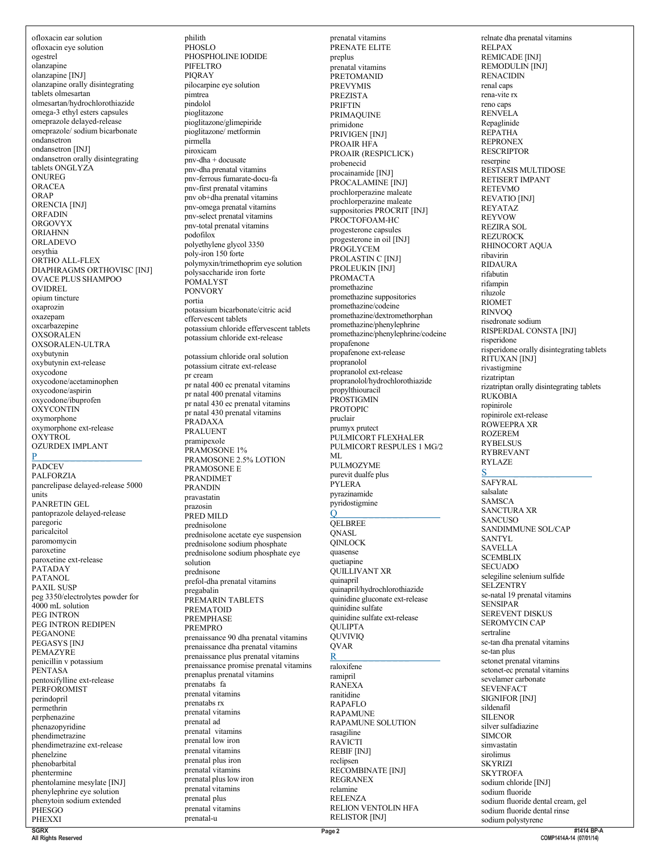ofloxacin ear solution ofloxacin eye solution ogestrel olanzapine olanzapine [INJ] olanzapine orally disintegrating tablets olmesartan olmesartan/hydrochlorothiazide omega-3 ethyl esters capsules omeprazole delayed-release omeprazole/ sodium bicarbonate ondansetron ondansetron [INJ] ondansetron orally disintegrating tablets ONGLYZA **ONUREG** ORACEA ORAP ORENCIA [INJ] ORFADIN ORGOVYX ORIAHNN ORLADEVO orsythia ORTHO ALL-FLEX DIAPHRAGMS ORTHOVISC [INJ] OVACE PLUS SHAMPOO OVIDREL opium tincture oxaprozin oxazepam oxcarbazepine **OXSORALEN** OXSORALEN-ULTRA oxybutynin oxybutynin ext-release oxycodone oxycodone/acetaminophen oxycodone/aspirin oxycodone/ibuprofen **OXYCONTIN** oxymorphone oxymorphone ext-release OXYTROL OZURDEX IMPLANT P \_ \_ \_ \_ \_ \_ \_ \_ \_ \_ \_ \_ \_ \_ \_ **PADCEV** PALFORZIA pancrelipase delayed-release 5000 units PANRETIN GEL pantoprazole delayed-release paregoric paricalcitol paromomycin paroxetine paroxetine ext-release PATADAY **PATANOL** PAXIL SUSP peg 3350/electrolytes powder for 4000 mL solution PEG INTRON PEG INTRON REDIPEN PEGANONE PEGASYS [INJ PEMAZYRE penicillin v potassium PENTASA pentoxifylline ext-release **PERFOROMIST** perindopril permethrin perphenazine phenazopyridine phendimetrazine phendimetrazine ext-release phenelzine phenobarbital phentermine phentolamine mesylate [INJ] phenylephrine eye solution phenytoin sodium extended **PHESGO** 

philith  $\overline{P}$ HOSLO PHOSPHOLINE IODIDE PIFELTRO **PIORAY** pilocarpine eye solution pimtrea pindolol pioglitazone pioglitazone/glimepiride pioglitazone/ metformin pirmella piroxicam  $p$ nv-dha + docusate pnv-dha prenatal vitamins pnv-ferrous fumarate-docu-fa pnv-first prenatal vitamins pnv ob+dha prenatal vitamins pnv-omega prenatal vitamins pnv-select prenatal vitamins pnv-total prenatal vitamins podofilox polyethylene glycol 3350 poly-iron 150 forte polymyxin/trimethoprim eye solution polysaccharide iron forte POMALYST PONVORY portia potassium bicarbonate/citric acid effervescent tablets potassium chloride effervescent tablets potassium chloride ext-release potassium chloride oral solution potassium citrate ext-release pr cream pr natal 400 ec prenatal vitamins pr natal 400 prenatal vitamins pr natal 430 ec prenatal vitamins pr natal 430 prenatal vitamins PRADAXA PRALUENT pramipexole PRAMOSONE 1% PRAMOSONE 2.5% LOTION PRAMOSONE E PRANDIMET PRANDIN pravastatin prazosin PRED MILD prednisolone prednisolone acetate eye suspension prednisolone sodium phosphate prednisolone sodium phosphate eye solution prednisone prefol-dha prenatal vitamins pregabalin PREMARIN TABLETS PREMATOID PREMPHASE PREMPRO prenaissance 90 dha prenatal vitamins prenaissance dha prenatal vitamins prenaissance plus prenatal vitamins prenaissance promise prenatal vitamins prenaplus prenatal vitamins prenatabs fa prenatal vitamins prenatabs rx prenatal vitamins prenatal ad prenatal vitamins prenatal low iron prenatal vitamins prenatal plus iron prenatal vitamins prenatal pluslow iron prenatal vitamins prenatal plus prenatal vitamins prenatal-u

prenatal vitamins PRENATE ELITE preplus prenatal vitamins PRETOMANID PREVYMIS PREZISTA PRIFTIN PRIMAQUINE primidone PRIVIGEN [INJ] PROAIR HFA PROAIR (RESPICLICK) probenecid procainamide [INJ] PROCALAMINE [INJ] prochlorperazine maleate prochlorperazine maleate suppositories PROCRIT [INJ] PROCTOFOAM-HC progesterone capsules progesterone in oil [INJ] PROGLYCEM PROLASTIN C [INJ] PROLEUKIN [INJ] PROMACTA promethazine promethazine suppositories promethazine/codeine promethazine/dextromethorphan promethazine/phenylephrine promethazine/phenylephrine/codeine propafenone propafenone ext-release propranolol propranolol ext-release propranolol/hydrochlorothiazide propylthiouracil **PROSTIGMIN** PROTOPIC pruclair prumyx prutect PULMICORT FLEXHALER PULMICORT RESPULES 1 MG/2 ML PULMOZYME purevit dualfe plus PYLERA pyrazinamide pyridostigmine  $Q \sim$ **OELBREE** QNASL QINLOCK quasense quetiapine QUILLIVANT XR quinapril quinapril/hydrochlorothiazide quinidine gluconate ext-release quinidine sulfate quinidine sulfate ext-release QULIPTA **QUVIVIO** QVAR R \_ \_ \_ \_ \_ \_ \_ \_ raloxifene ramipril RANEXA ranitidine RAPAFLO RAPAMUNE RAPAMUNE SOLUTION rasagiline RAVICTI REBIF [INJ] reclipsen RECOMBINATE [INJ] REGRANEX relamine RELENZA RELION VENTOLIN HFA RELISTOR [INJ]

relnate dha prenatal vitamins RELPAX REMICADE [INJ] REMODULIN [INJ] RENACIDIN renal caps rena-vite rx reno caps RENVELA Repaglinide REPATHA REPRONEX RESCRIPTOR reserpine RESTASIS MULTIDOSE RETISERT IMPANT RETEVMO REVATIO [INJ] REYATAZ REYVOW REZIRA SOL REZUROCK RHINOCORT AQUA ribavirin RIDAURA rifabutin rifampin riluzole RIOMET RINVOQ risedronate sodium RISPERDAL CONSTA [INJ] risperidone risperidone orally disintegrating tablets RITUXAN [INJ] rivastigmine rizatriptan rizatriptan orally disintegrating tablets RUKOBIA ropinirole ropinirole ext-release ROWEEPRA XR ROZEREM RYBELSUS RYBREVANT RYLAZE  $S$   $\qquad \qquad \qquad$ SAFYRAL salsalate **SAMSCA** SANCTURA XR **SANCUSO** SANDIMMUNE SOL/CAP SANTYL SAVELLA **SCEMBLIX SECUADO** selegiline selenium sulfide **SELZENTRY** se-natal 19 prenatal vitamins SENSIPAR SEREVENT DISKUS SEROMYCIN CAP sertraline se-tan dha prenatal vitamins se-tan plus setonet prenatal vitamins setonet-ec prenatal vitamins sevelamer carbonate **SEVENFACT** SIGNIFOR [INJ] sildenafil SILENOR silver sulfadiazine SIMCOR simvastatin sirolimus SKYRIZI **SKYTROFA** sodium chloride [INJ] sodium fluoride sodium fluoride dental cream, gel sodium fluoride dental rinse sodium polystyrene

**SGRX All Rights Reserved**

PHEXXI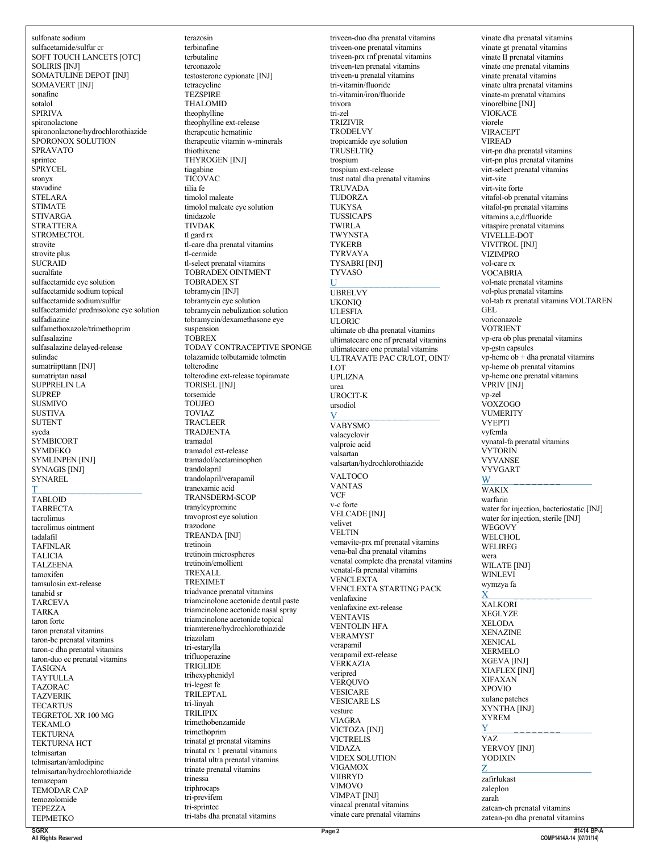sulfonate sodium sulfacetamide/sulfur cr SOFT TOUCH LANCETS [OTC] **SOLIRIS [INJ]** SOMATULINE DEPOT [INJ] SOMAVERT [INJ] sonafine sotalol **SPIRIVA** spironolactone spirononlactone/hydrochlorothiazide SPORONOX SOLUTION **SPRAVATO** sprintec SPRYCEL sronyx stavudine **STELARA STIMATE STIVARGA STRATTERA** STROMECTOL. strovite strovite plus **SUCRAID** sucralfate sulfacetamide eve solution sulfacetamide sodium topical sulfacetamide sodium/sulfur sulfacetamide/prednisolone eye solution sulfadiazine sulfamethoxazole/trimethoprim sulfasalazine sulfasalazine delayed-release sulindac sumatriipttann [INJ] sumatriptan nasal SUPPRELIN LA **SUPREP SUSMIVO** SUSTIVA **SUTENT** syeda **SYMBICORT SYMDEKO SYMLINPEN [INJ]** SYNAGIS [INJ] SYNAREL TABLOID **TABRECTA** tacrolimus tacrolimus ointment tadalafil **TAFINLAR TALICIA TALZEENA** tamoxifen tamsulosin ext-release tanabid sr **TARCEVA TARKA** taron forte taron prenatal vitamins taron-bc prenatal vitamins taron-c dha prenatal vitamins taron-duo ec prenatal vitamins **TASIGNA TAYTULLA TAZORAC TAZVERIK TECARTUS** TEGRETOL XR 100 MG **TEKAMLO TEKTURNA** TEKTURNA HCT telmisartan telmisartan/amlodipine telmisartan/hydrochlorothiazide temazepam TEMODAR CAP temozolomide **TEPEZZA TEPMETKO** SGRY

terazosin terbinafine terbutaline terconazole testosterone cypionate [INJ] tetracycline **TEZSPIRE THALOMID** theophylline theophylline ext-release therapeutic hematinic therapeutic vitamin w-minerals thiothixene THYROGEN IINJI tiagabine **TICOVAC** tilia fe timolol maleate timolol maleate eye solution tinidazole **TIVDAK** tl gard rx tl-care dha prenatal vitamins tl-cermide tl-select prenatal vitamins TOBRADEX OINTMENT **TOBRADEX ST** tobramycin [INJ] tobramycin eye solution tobramycin nebulization solution tobramycin/dexamethasone eye suspension **TOBREX** TODAY CONTRACEPTIVE SPONGE tolazamide tolbutamide tolmetin tolterodine tolterodine ext-release topiramate TORISEL [INJ] torsemide **TOUJEO TOVIAZ TRACLEER TRADJENTA** tramadol tramadol ext-release tramadol/acetaminophen trandolapril trandolapril/verapamil tranexamic acid TRANSDERM-SCOP tranylcypromine travoprost eye solution trazodone **TREANDA [INJ]** tretinoin tretinoin microspheres tretinoin/emollient **TREVALL TREXIMET** triadvance prenatal vitamins triamcinolone acetonide dental paste triamcinolone acetonide nasal spray triamcinolone acetonide topical triamterene/hydrochlorothiazide triazolam tri-estarylla trifluoperazine TRIGLIDE trihexyphenidyl tri-legest fe TRILEPTAL tri-linvah **TRILIPIX** trimethobenzamide trimethoprim trinatal gt prenatal vitamins trinatal  $rx$ <sup>1</sup> prenatal vitamins trinatal ultra prenatal vitamins trinate prenatal vitamins trinessa triphrocaps tri-previfem tri-sprintec tri-tabs dha prenatal vitamins

triveen-duo dha prenatal vitamins triveen-one prenatal vitamins triveen-prx rnf prenatal vitamins triveen-ten prenatal vitamins triveen-u prenatal vitamins tri-vitamin/fluoride tri-vitamin/iron/fluoride trivora tri-zel **TRIZIVIR TRODELVY** tropicamide eye solution **TRUSELTIO** trospium trospium ext-release trust natal dha prenatal vitamins **TRUVADA TUDORZA TUKYSA TUSSICAPS TWIRLA** TWYNSTA **TYKERB TYRVAYA TYSABRI [INJ] TYVASO**  $II$ **UBRELVY UKONIO III ESEIA ULORIC** ultimate ob dha prenatal vitamins ultimatecare one nf prenatal vitamins ultimatecare one prenatal vitamins ULTRAVATE PAC CR/LOT, OINT/ LOT **UPLIZNA** urea UROCIT-K ursodiol  $\overline{V}$ **VABYSMO** valacyclovir valproic acid valsartan valsartan/hydrochlorothiazide **VALTOCO VANTAS VCF** v-c forte **VELCADE [INJ]** velivet **VELTIN** vemavite-prx rnf prenatal vitamins vena-bal dha prenatal vitamins venatal complete dha prenatal vitamins venatal-fa prenatal vitamins **VENCLEXTA VENCLEXTA STARTING PACK** venlafaxine venlafaxine ext-release **VENTAVIS VENTOLIN HFA VERAMYST** verapamil verapamil ext-release VERKAZIA veripred **VEROUVO VESICARE VESICARE LS** vesture **VIAGRA** VICTOZA [INJ] VICTRELIS **VIDAZA** VIDEX SOLUTION **VIGAMOX VIIBRYD VIMOVO VIMPAT [INJ]** vinacal prenatal vitamins

vinate dha prenatal vitamins vinate gt prenatal vitamins vinate II prenatal vitamins vinate one prenatal vitamins vinate prenatal vitamins vinate ultra prenatal vitamins vinate-m prenatal vitamins vinorelbine [INJ] **VIOKACE** viorele **VIRACEPT VIREAD** virt-pn dha prenatal vitamins virt-pn plus prenatal vitamins virt-select prenatal vitamins virt-vite virt-vite forte vitafol-ob prenatal vitamins vitafol-pn prenatal vitamins vitamins a.c.d/fluoride vitaspire prenatal vitamins VIVELLE-DOT **VIVITROL** [INJ] **VIZIMPRO** vol-care rx **VOCABRIA** vol-nate prenatal vitamins vol-plus prenatal vitamins vol-tab rx prenatal vitamins VOLTAREN GEL. voriconazole **VOTRIENT** vp-era ob plus prenatal vitamins vp-gstn capsules  $vp$ -heme  $ob + dh$ a prenatal vitamins vp-heme ob prenatal vitamins vp-heme one prenatal vitamins VPRIV [INJ] vp-zel VOXZOGO **VUMERITY VYEPTI** vyfemla vynatal-fa prenatal vitamins **VYTORIN VYVANSE VYVGART** W **WAKIX** warfarin water for injection, bacteriostatic [INJ] water for injection, sterile [INJ] **WEGOVY WELCHOL WELIREG** wera **WILATE [INJ]** WINLEVI wymzya fa X **XALKORI XEGLYZE XELODA XENAZINE XENICAL XERMELO** XGEVA [INJ] XIAFLEX [INJ] **XIFAXAN XPOVIO** xulane patches XYNTHA [INJ] **XYREM** Y YAZ YERVOY [INJ] **YODIXIN**  $\mathbf{Z}$ zafirlukast zaleplon zarah zatean-ch prenatal vitamins zatean-pn dha prenatal vitamins

All Rights Reserved

vinate care prenatal vitamins